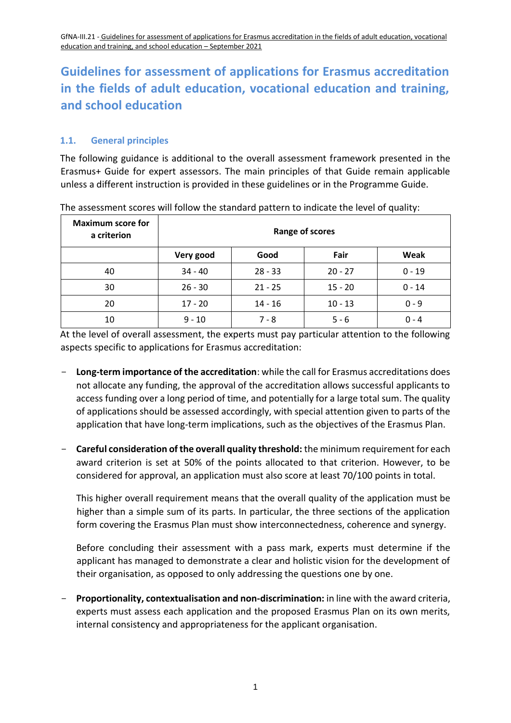### **1.1. General principles**

The following guidance is additional to the overall assessment framework presented in the Erasmus+ Guide for expert assessors. The main principles of that Guide remain applicable unless a different instruction is provided in these guidelines or in the Programme Guide.

| <b>Maximum score for</b><br>a criterion | Range of scores |           |           |          |
|-----------------------------------------|-----------------|-----------|-----------|----------|
|                                         | Very good       | Good      | Fair      | Weak     |
| 40                                      | $34 - 40$       | $28 - 33$ | $20 - 27$ | $0 - 19$ |
| 30                                      | $26 - 30$       | $21 - 25$ | $15 - 20$ | $0 - 14$ |
| 20                                      | $17 - 20$       | $14 - 16$ | $10 - 13$ | $0 - 9$  |
| 10                                      | $9 - 10$        | $7 - 8$   | $5 - 6$   | $0 - 4$  |

The assessment scores will follow the standard pattern to indicate the level of quality:

At the level of overall assessment, the experts must pay particular attention to the following aspects specific to applications for Erasmus accreditation:

- **Long-term importance of the accreditation**: while the call for Erasmus accreditations does not allocate any funding, the approval of the accreditation allows successful applicants to access funding over a long period of time, and potentially for a large total sum. The quality of applications should be assessed accordingly, with special attention given to parts of the application that have long-term implications, such as the objectives of the Erasmus Plan.
- **Careful consideration of the overall quality threshold:** the minimum requirement for each award criterion is set at 50% of the points allocated to that criterion. However, to be considered for approval, an application must also score at least 70/100 points in total.

This higher overall requirement means that the overall quality of the application must be higher than a simple sum of its parts. In particular, the three sections of the application form covering the Erasmus Plan must show interconnectedness, coherence and synergy.

Before concluding their assessment with a pass mark, experts must determine if the applicant has managed to demonstrate a clear and holistic vision for the development of their organisation, as opposed to only addressing the questions one by one.

- **Proportionality, contextualisation and non-discrimination:** in line with the award criteria, experts must assess each application and the proposed Erasmus Plan on its own merits, internal consistency and appropriateness for the applicant organisation.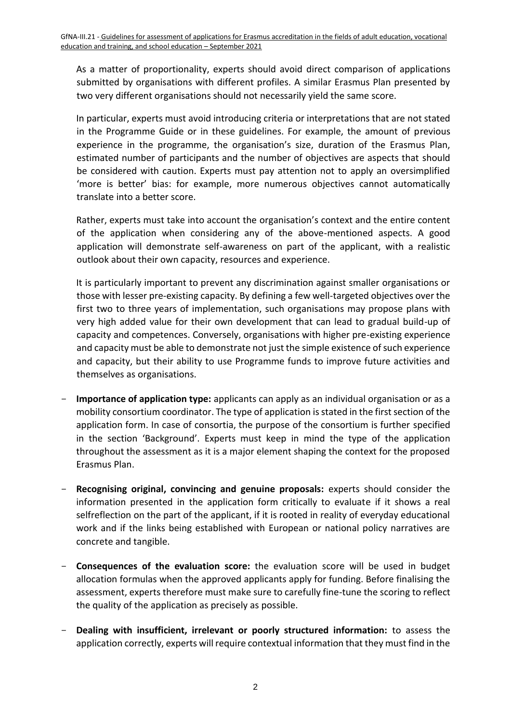As a matter of proportionality, experts should avoid direct comparison of applications submitted by organisations with different profiles. A similar Erasmus Plan presented by two very different organisations should not necessarily yield the same score.

In particular, experts must avoid introducing criteria or interpretations that are not stated in the Programme Guide or in these guidelines. For example, the amount of previous experience in the programme, the organisation's size, duration of the Erasmus Plan, estimated number of participants and the number of objectives are aspects that should be considered with caution. Experts must pay attention not to apply an oversimplified 'more is better' bias: for example, more numerous objectives cannot automatically translate into a better score.

Rather, experts must take into account the organisation's context and the entire content of the application when considering any of the above-mentioned aspects. A good application will demonstrate self-awareness on part of the applicant, with a realistic outlook about their own capacity, resources and experience.

It is particularly important to prevent any discrimination against smaller organisations or those with lesser pre-existing capacity. By defining a few well-targeted objectives over the first two to three years of implementation, such organisations may propose plans with very high added value for their own development that can lead to gradual build-up of capacity and competences. Conversely, organisations with higher pre-existing experience and capacity must be able to demonstrate not just the simple existence of such experience and capacity, but their ability to use Programme funds to improve future activities and themselves as organisations.

- **Importance of application type:** applicants can apply as an individual organisation or as a mobility consortium coordinator. The type of application is stated in the first section of the application form. In case of consortia, the purpose of the consortium is further specified in the section 'Background'. Experts must keep in mind the type of the application throughout the assessment as it is a major element shaping the context for the proposed Erasmus Plan.
- Recognising original, convincing and genuine proposals: experts should consider the information presented in the application form critically to evaluate if it shows a real selfreflection on the part of the applicant, if it is rooted in reality of everyday educational work and if the links being established with European or national policy narratives are concrete and tangible.
- **Consequences of the evaluation score:** the evaluation score will be used in budget allocation formulas when the approved applicants apply for funding. Before finalising the assessment, experts therefore must make sure to carefully fine-tune the scoring to reflect the quality of the application as precisely as possible.
- **Dealing with insufficient, irrelevant or poorly structured information:** to assess the application correctly, experts will require contextual information that they must find in the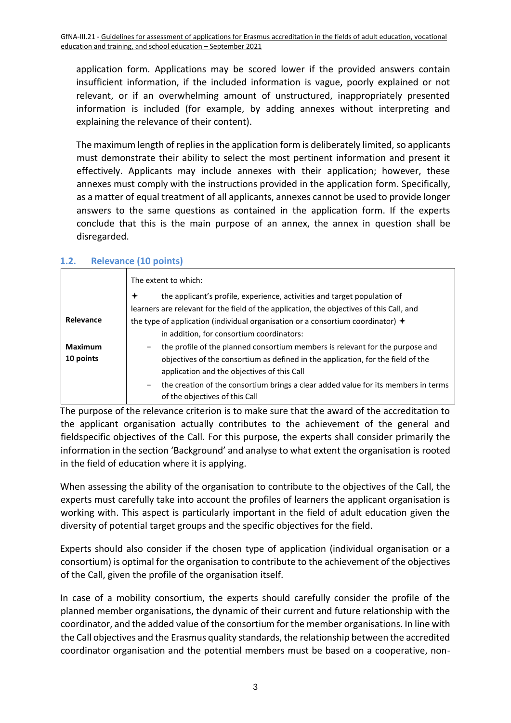application form. Applications may be scored lower if the provided answers contain insufficient information, if the included information is vague, poorly explained or not relevant, or if an overwhelming amount of unstructured, inappropriately presented information is included (for example, by adding annexes without interpreting and explaining the relevance of their content).

The maximum length of replies in the application form is deliberately limited, so applicants must demonstrate their ability to select the most pertinent information and present it effectively. Applicants may include annexes with their application; however, these annexes must comply with the instructions provided in the application form. Specifically, as a matter of equal treatment of all applicants, annexes cannot be used to provide longer answers to the same questions as contained in the application form. If the experts conclude that this is the main purpose of an annex, the annex in question shall be disregarded.

|                | The extent to which:                                                                                                      |
|----------------|---------------------------------------------------------------------------------------------------------------------------|
|                | the applicant's profile, experience, activities and target population of<br>✦                                             |
|                | learners are relevant for the field of the application, the objectives of this Call, and                                  |
| Relevance      | the type of application (individual organisation or a consortium coordinator) $\rightarrow$                               |
|                | in addition, for consortium coordinators:                                                                                 |
| <b>Maximum</b> | the profile of the planned consortium members is relevant for the purpose and                                             |
| 10 points      | objectives of the consortium as defined in the application, for the field of the                                          |
|                | application and the objectives of this Call                                                                               |
|                | the creation of the consortium brings a clear added value for its members in terms<br>-<br>of the objectives of this Call |

#### **1.2. Relevance (10 points)**

The purpose of the relevance criterion is to make sure that the award of the accreditation to the applicant organisation actually contributes to the achievement of the general and fieldspecific objectives of the Call. For this purpose, the experts shall consider primarily the information in the section 'Background' and analyse to what extent the organisation is rooted in the field of education where it is applying.

When assessing the ability of the organisation to contribute to the objectives of the Call, the experts must carefully take into account the profiles of learners the applicant organisation is working with. This aspect is particularly important in the field of adult education given the diversity of potential target groups and the specific objectives for the field.

Experts should also consider if the chosen type of application (individual organisation or a consortium) is optimal for the organisation to contribute to the achievement of the objectives of the Call, given the profile of the organisation itself.

In case of a mobility consortium, the experts should carefully consider the profile of the planned member organisations, the dynamic of their current and future relationship with the coordinator, and the added value of the consortium for the member organisations. In line with the Call objectives and the Erasmus quality standards, the relationship between the accredited coordinator organisation and the potential members must be based on a cooperative, non-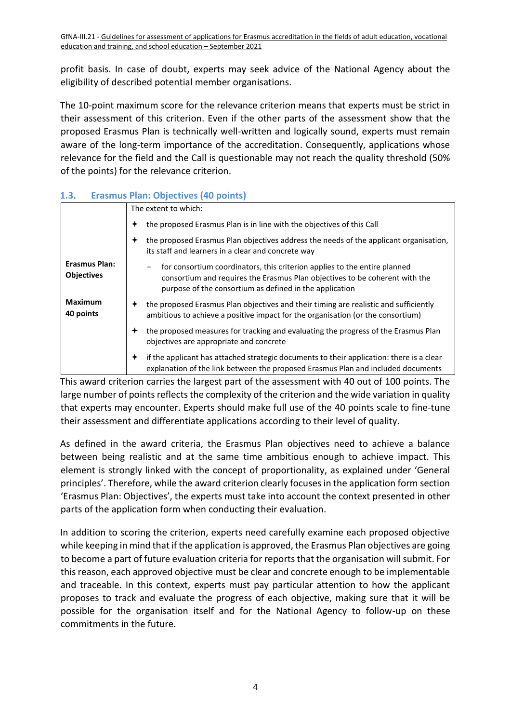profit basis. In case of doubt, experts may seek advice of the National Agency about the eligibility of described potential member organisations.

The 10-point maximum score for the relevance criterion means that experts must be strict in their assessment of this criterion. Even if the other parts of the assessment show that the proposed Erasmus Plan is technically well-written and logically sound, experts must remain aware of the long-term importance of the accreditation. Consequently, applications whose relevance for the field and the Call is questionable may not reach the quality threshold (50% of the points) for the relevance criterion.

| 1.3. |  |  | <b>Erasmus Plan: Objectives (40 points)</b> |  |  |  |
|------|--|--|---------------------------------------------|--|--|--|
|------|--|--|---------------------------------------------|--|--|--|

|                                           | The extent to which:                                                                                                                                                                                                |
|-------------------------------------------|---------------------------------------------------------------------------------------------------------------------------------------------------------------------------------------------------------------------|
|                                           | the proposed Erasmus Plan is in line with the objectives of this Call<br>✦                                                                                                                                          |
|                                           | the proposed Erasmus Plan objectives address the needs of the applicant organisation,<br>its staff and learners in a clear and concrete way                                                                         |
| <b>Erasmus Plan:</b><br><b>Objectives</b> | for consortium coordinators, this criterion applies to the entire planned<br>consortium and requires the Erasmus Plan objectives to be coherent with the<br>purpose of the consortium as defined in the application |
| <b>Maximum</b><br>40 points               | the proposed Erasmus Plan objectives and their timing are realistic and sufficiently<br>✦<br>ambitious to achieve a positive impact for the organisation (or the consortium)                                        |
|                                           | the proposed measures for tracking and evaluating the progress of the Erasmus Plan<br>objectives are appropriate and concrete                                                                                       |
|                                           | if the applicant has attached strategic documents to their application: there is a clear<br>✦<br>explanation of the link between the proposed Erasmus Plan and included documents                                   |

This award criterion carries the largest part of the assessment with 40 out of 100 points. The large number of points reflects the complexity of the criterion and the wide variation in quality that experts may encounter. Experts should make full use of the 40 points scale to fine-tune their assessment and differentiate applications according to their level of quality.

As defined in the award criteria, the Erasmus Plan objectives need to achieve a balance between being realistic and at the same time ambitious enough to achieve impact. This element is strongly linked with the concept of proportionality, as explained under 'General principles'. Therefore, while the award criterion clearly focuses in the application form section 'Erasmus Plan: Objectives', the experts must take into account the context presented in other parts of the application form when conducting their evaluation.

In addition to scoring the criterion, experts need carefully examine each proposed objective while keeping in mind that if the application is approved, the Erasmus Plan objectives are going to become a part of future evaluation criteria for reports that the organisation will submit. For this reason, each approved objective must be clear and concrete enough to be implementable and traceable. In this context, experts must pay particular attention to how the applicant proposes to track and evaluate the progress of each objective, making sure that it will be possible for the organisation itself and for the National Agency to follow-up on these commitments in the future.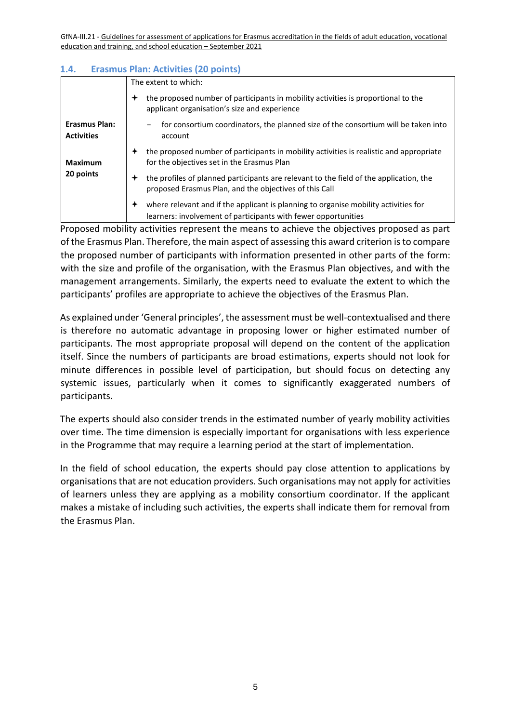#### **1.4. Erasmus Plan: Activities (20 points)**

|                                           | The extent to which:                                                                                                                                  |  |
|-------------------------------------------|-------------------------------------------------------------------------------------------------------------------------------------------------------|--|
|                                           | the proposed number of participants in mobility activities is proportional to the<br>applicant organisation's size and experience                     |  |
| <b>Erasmus Plan:</b><br><b>Activities</b> | for consortium coordinators, the planned size of the consortium will be taken into<br>account                                                         |  |
| <b>Maximum</b>                            | the proposed number of participants in mobility activities is realistic and appropriate<br>for the objectives set in the Erasmus Plan                 |  |
| 20 points                                 | the profiles of planned participants are relevant to the field of the application, the<br>proposed Erasmus Plan, and the objectives of this Call      |  |
|                                           | where relevant and if the applicant is planning to organise mobility activities for<br>learners: involvement of participants with fewer opportunities |  |

Proposed mobility activities represent the means to achieve the objectives proposed as part of the Erasmus Plan. Therefore, the main aspect of assessing this award criterion is to compare the proposed number of participants with information presented in other parts of the form: with the size and profile of the organisation, with the Erasmus Plan objectives, and with the management arrangements. Similarly, the experts need to evaluate the extent to which the participants' profiles are appropriate to achieve the objectives of the Erasmus Plan.

As explained under 'General principles', the assessment must be well-contextualised and there is therefore no automatic advantage in proposing lower or higher estimated number of participants. The most appropriate proposal will depend on the content of the application itself. Since the numbers of participants are broad estimations, experts should not look for minute differences in possible level of participation, but should focus on detecting any systemic issues, particularly when it comes to significantly exaggerated numbers of participants.

The experts should also consider trends in the estimated number of yearly mobility activities over time. The time dimension is especially important for organisations with less experience in the Programme that may require a learning period at the start of implementation.

In the field of school education, the experts should pay close attention to applications by organisations that are not education providers. Such organisations may not apply for activities of learners unless they are applying as a mobility consortium coordinator. If the applicant makes a mistake of including such activities, the experts shall indicate them for removal from the Erasmus Plan.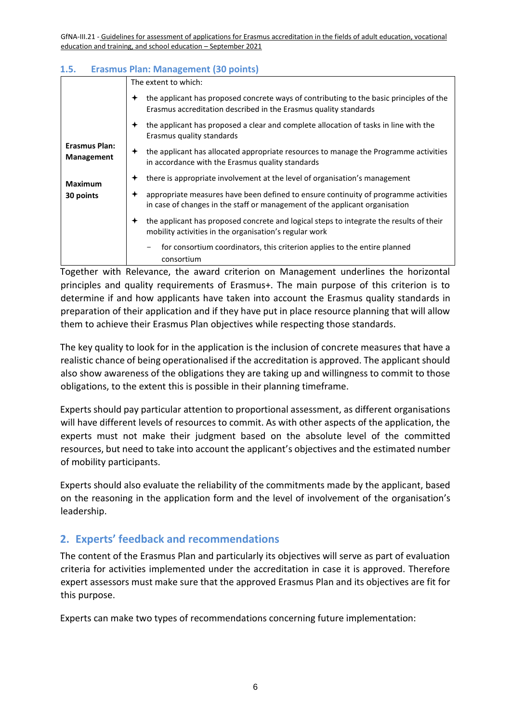#### **1.5. Erasmus Plan: Management (30 points)**

|                                    | The extent to which:                                                                                                                                               |  |  |
|------------------------------------|--------------------------------------------------------------------------------------------------------------------------------------------------------------------|--|--|
|                                    | the applicant has proposed concrete ways of contributing to the basic principles of the<br>Erasmus accreditation described in the Erasmus quality standards        |  |  |
|                                    | the applicant has proposed a clear and complete allocation of tasks in line with the<br>Erasmus quality standards                                                  |  |  |
| <b>Erasmus Plan:</b><br>Management | the applicant has allocated appropriate resources to manage the Programme activities<br>in accordance with the Erasmus quality standards                           |  |  |
| Maximum                            | there is appropriate involvement at the level of organisation's management                                                                                         |  |  |
| 30 points                          | appropriate measures have been defined to ensure continuity of programme activities<br>in case of changes in the staff or management of the applicant organisation |  |  |
|                                    | the applicant has proposed concrete and logical steps to integrate the results of their<br>✦<br>mobility activities in the organisation's regular work             |  |  |
|                                    | for consortium coordinators, this criterion applies to the entire planned<br>consortium                                                                            |  |  |

Together with Relevance, the award criterion on Management underlines the horizontal principles and quality requirements of Erasmus+. The main purpose of this criterion is to determine if and how applicants have taken into account the Erasmus quality standards in preparation of their application and if they have put in place resource planning that will allow them to achieve their Erasmus Plan objectives while respecting those standards.

The key quality to look for in the application is the inclusion of concrete measures that have a realistic chance of being operationalised if the accreditation is approved. The applicant should also show awareness of the obligations they are taking up and willingness to commit to those obligations, to the extent this is possible in their planning timeframe.

Experts should pay particular attention to proportional assessment, as different organisations will have different levels of resources to commit. As with other aspects of the application, the experts must not make their judgment based on the absolute level of the committed resources, but need to take into account the applicant's objectives and the estimated number of mobility participants.

Experts should also evaluate the reliability of the commitments made by the applicant, based on the reasoning in the application form and the level of involvement of the organisation's leadership.

## **2. Experts' feedback and recommendations**

The content of the Erasmus Plan and particularly its objectives will serve as part of evaluation criteria for activities implemented under the accreditation in case it is approved. Therefore expert assessors must make sure that the approved Erasmus Plan and its objectives are fit for this purpose.

Experts can make two types of recommendations concerning future implementation: